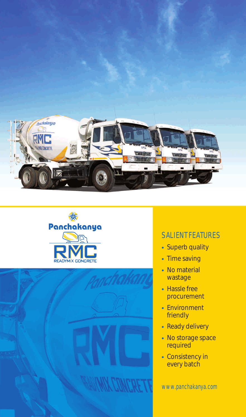





## SALIENT FEATURES

- Superb quality
- Time saving
- No material wastage
- Hassle free procurement
- Environment friendly
- Ready delivery
- No storage space required
- Consistency in every batch

www.panchakanya.com